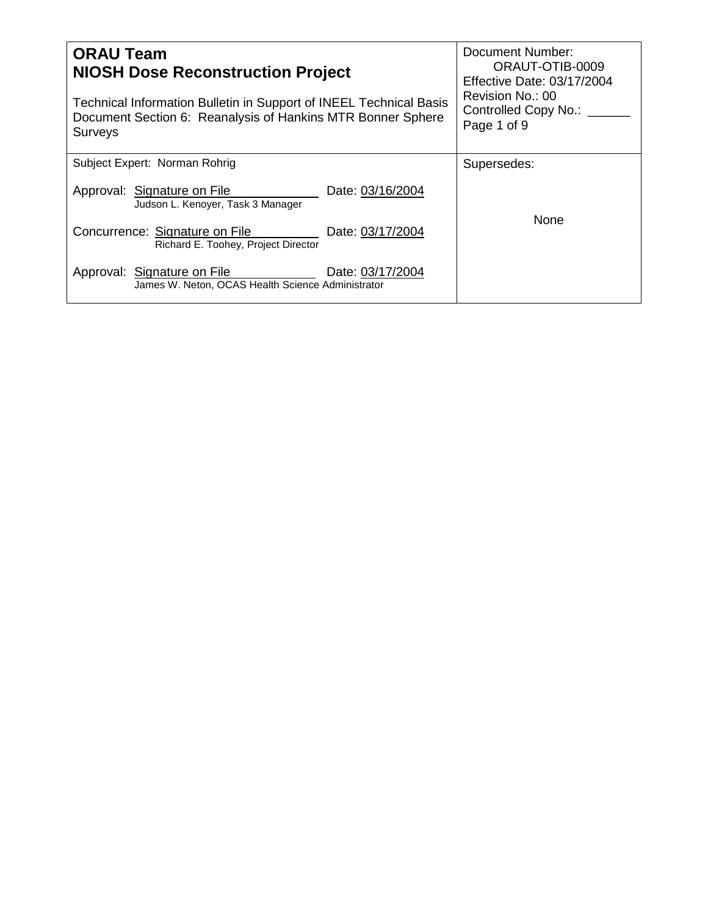| <b>ORAU Team</b><br><b>NIOSH Dose Reconstruction Project</b>                                                                                        | Document Number:<br>ORAUT-OTIB-0009<br>Effective Date: 03/17/2004 |
|-----------------------------------------------------------------------------------------------------------------------------------------------------|-------------------------------------------------------------------|
| Technical Information Bulletin in Support of INEEL Technical Basis<br>Document Section 6: Reanalysis of Hankins MTR Bonner Sphere<br><b>Surveys</b> | Revision No.: 00<br>Controlled Copy No.: ___<br>Page 1 of 9       |
| Subject Expert: Norman Rohrig                                                                                                                       | Supersedes:                                                       |
| Approval: Signature on File<br>Date: 03/16/2004<br>Judson L. Kenoyer, Task 3 Manager                                                                |                                                                   |
| Concurrence: Signature on File<br>Date: 03/17/2004<br>Richard E. Toohey, Project Director                                                           | <b>None</b>                                                       |
| Approval: Signature on File<br>Date: 03/17/2004<br>James W. Neton, OCAS Health Science Administrator                                                |                                                                   |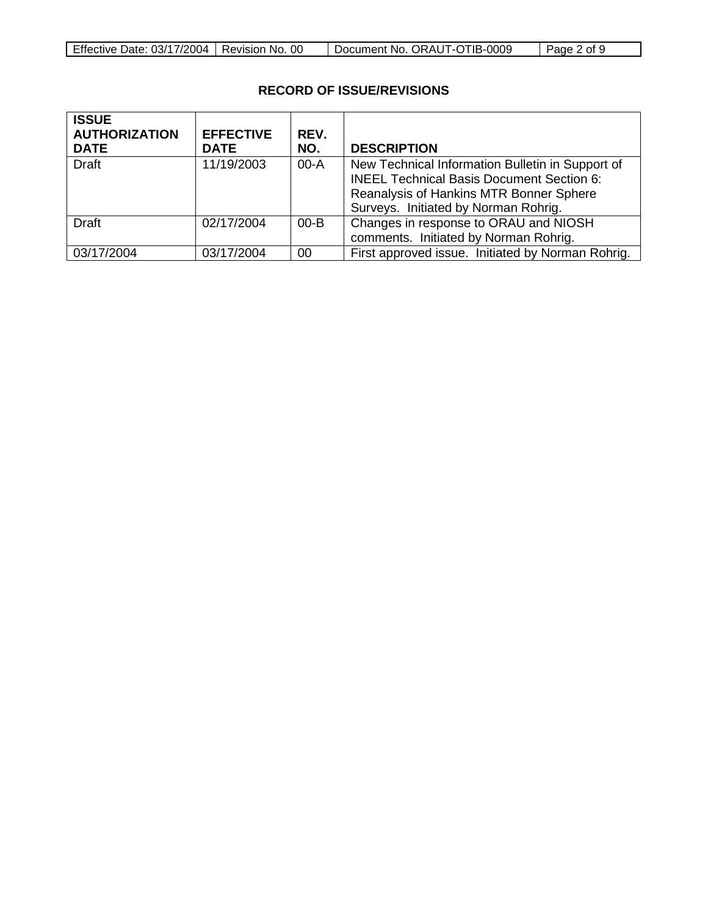| Effective Date: 03/17/2004   Revision No. 00<br>Document No. ORAUT-OTIB-0009<br>$\vert$ Page 2 of 9 |
|-----------------------------------------------------------------------------------------------------|
|-----------------------------------------------------------------------------------------------------|

## **RECORD OF ISSUE/REVISIONS**

| <b>ISSUE</b><br><b>AUTHORIZATION</b> | <b>EFFECTIVE</b> | REV.     |                                                                                                                                                                                         |
|--------------------------------------|------------------|----------|-----------------------------------------------------------------------------------------------------------------------------------------------------------------------------------------|
| <b>DATE</b>                          | <b>DATE</b>      | NO.      | <b>DESCRIPTION</b>                                                                                                                                                                      |
| <b>Draft</b>                         | 11/19/2003       | $00-A$   | New Technical Information Bulletin in Support of<br><b>INEEL Technical Basis Document Section 6:</b><br>Reanalysis of Hankins MTR Bonner Sphere<br>Surveys. Initiated by Norman Rohrig. |
| Draft                                | 02/17/2004       | $00 - B$ | Changes in response to ORAU and NIOSH<br>comments. Initiated by Norman Rohrig.                                                                                                          |
| 03/17/2004                           | 03/17/2004       | 00       | First approved issue. Initiated by Norman Rohrig.                                                                                                                                       |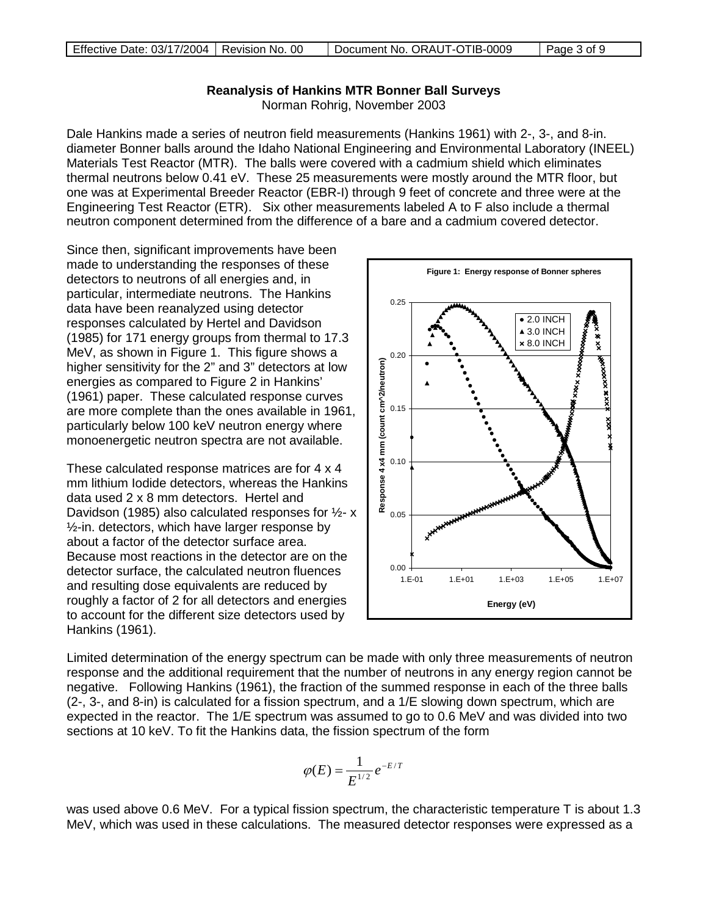## **Reanalysis of Hankins MTR Bonner Ball Surveys**

Norman Rohrig, November 2003

Dale Hankins made a series of neutron field measurements (Hankins 1961) with 2-, 3-, and 8-in. diameter Bonner balls around the Idaho National Engineering and Environmental Laboratory (INEEL) Materials Test Reactor (MTR). The balls were covered with a cadmium shield which eliminates thermal neutrons below 0.41 eV. These 25 measurements were mostly around the MTR floor, but one was at Experimental Breeder Reactor (EBR-I) through 9 feet of concrete and three were at the Engineering Test Reactor (ETR). Six other measurements labeled A to F also include a thermal neutron component determined from the difference of a bare and a cadmium covered detector.

Since then, significant improvements have been made to understanding the responses of these detectors to neutrons of all energies and, in particular, intermediate neutrons. The Hankins data have been reanalyzed using detector responses calculated by Hertel and Davidson (1985) for 171 energy groups from thermal to 17.3 MeV, as shown in Figure 1. This figure shows a higher sensitivity for the 2" and 3" detectors at low energies as compared to Figure 2 in Hankins' (1961) paper. These calculated response curves are more complete than the ones available in 1961, particularly below 100 keV neutron energy where monoenergetic neutron spectra are not available.

These calculated response matrices are for 4 x 4 mm lithium Iodide detectors, whereas the Hankins data used 2 x 8 mm detectors. Hertel and Davidson (1985) also calculated responses for ½- x  $\frac{1}{2}$ -in. detectors, which have larger response by about a factor of the detector surface area. Because most reactions in the detector are on the detector surface, the calculated neutron fluences and resulting dose equivalents are reduced by roughly a factor of 2 for all detectors and energies to account for the different size detectors used by Hankins (1961).



Limited determination of the energy spectrum can be made with only three measurements of neutron response and the additional requirement that the number of neutrons in any energy region cannot be negative. Following Hankins (1961), the fraction of the summed response in each of the three balls (2-, 3-, and 8-in) is calculated for a fission spectrum, and a 1/E slowing down spectrum, which are expected in the reactor. The 1/E spectrum was assumed to go to 0.6 MeV and was divided into two sections at 10 keV. To fit the Hankins data, the fission spectrum of the form

$$
\varphi(E) = \frac{1}{E^{1/2}} e^{-E/T}
$$

was used above 0.6 MeV. For a typical fission spectrum, the characteristic temperature T is about 1.3 MeV, which was used in these calculations. The measured detector responses were expressed as a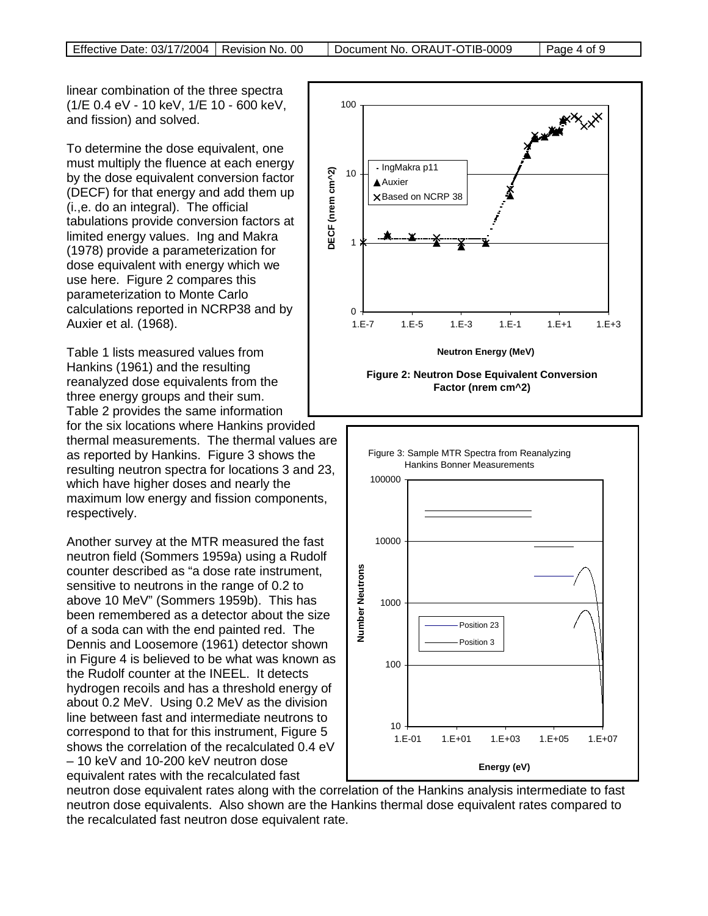linear combination of the three spectra (1/E 0.4 eV - 10 keV, 1/E 10 - 600 keV, and fission) and solved.

To determine the dose equivalent, one must multiply the fluence at each energy by the dose equivalent conversion factor (DECF) for that energy and add them up (i.,e. do an integral). The official tabulations provide conversion factors at limited energy values. Ing and Makra (1978) provide a parameterization for dose equivalent with energy which we use here. Figure 2 compares this parameterization to Monte Carlo calculations reported in NCRP38 and by Auxier et al. (1968).

Table 1 lists measured values from Hankins (1961) and the resulting reanalyzed dose equivalents from the three energy groups and their sum. Table 2 provides the same information for the six locations where Hankins provided thermal measurements. The thermal values are as reported by Hankins. Figure 3 shows the resulting neutron spectra for locations 3 and 23, which have higher doses and nearly the maximum low energy and fission components, respectively.

Another survey at the MTR measured the fast neutron field (Sommers 1959a) using a Rudolf counter described as "a dose rate instrument, sensitive to neutrons in the range of 0.2 to above 10 MeV" (Sommers 1959b). This has been remembered as a detector about the size of a soda can with the end painted red. The Dennis and Loosemore (1961) detector shown in Figure 4 is believed to be what was known as the Rudolf counter at the INEEL. It detects hydrogen recoils and has a threshold energy of about 0.2 MeV. Using 0.2 MeV as the division line between fast and intermediate neutrons to correspond to that for this instrument, Figure 5 shows the correlation of the recalculated 0.4 eV – 10 keV and 10-200 keV neutron dose equivalent rates with the recalculated fast

100 - IngMakra p11 DECF (nrem cm^2) **DECF (nrem cm^2)** 10 **A**Auxier  $\times$ Based on NCRP 38 1 0 1.E-7 1.E-5 1.E-3 1.E-1 1.E+1 1.E+3 **Neutron Energy (MeV)**





neutron dose equivalent rates along with the correlation of the Hankins analysis intermediate to fast neutron dose equivalents. Also shown are the Hankins thermal dose equivalent rates compared to the recalculated fast neutron dose equivalent rate.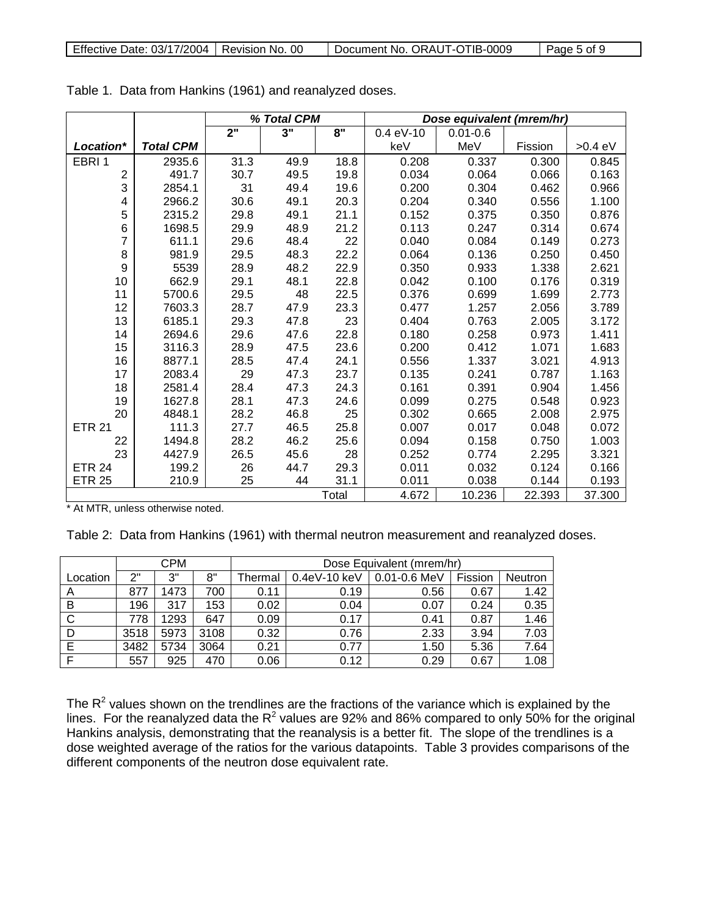|                |                  | % Total CPM |                    |       |             | Dose equivalent (mrem/hr) |         |           |
|----------------|------------------|-------------|--------------------|-------|-------------|---------------------------|---------|-----------|
|                |                  | 2"          | $3^{\overline{1}}$ | 8"    | $0.4 eV-10$ | $0.01 - 0.6$              |         |           |
| Location*      | <b>Total CPM</b> |             |                    |       | keV         | MeV                       | Fission | $>0.4$ eV |
| EBRI1          | 2935.6           | 31.3        | 49.9               | 18.8  | 0.208       | 0.337                     | 0.300   | 0.845     |
| $\overline{2}$ | 491.7            | 30.7        | 49.5               | 19.8  | 0.034       | 0.064                     | 0.066   | 0.163     |
| 3              | 2854.1           | 31          | 49.4               | 19.6  | 0.200       | 0.304                     | 0.462   | 0.966     |
| 4              | 2966.2           | 30.6        | 49.1               | 20.3  | 0.204       | 0.340                     | 0.556   | 1.100     |
| 5              | 2315.2           | 29.8        | 49.1               | 21.1  | 0.152       | 0.375                     | 0.350   | 0.876     |
| 6              | 1698.5           | 29.9        | 48.9               | 21.2  | 0.113       | 0.247                     | 0.314   | 0.674     |
| 7              | 611.1            | 29.6        | 48.4               | 22    | 0.040       | 0.084                     | 0.149   | 0.273     |
| 8              | 981.9            | 29.5        | 48.3               | 22.2  | 0.064       | 0.136                     | 0.250   | 0.450     |
| 9              | 5539             | 28.9        | 48.2               | 22.9  | 0.350       | 0.933                     | 1.338   | 2.621     |
| 10             | 662.9            | 29.1        | 48.1               | 22.8  | 0.042       | 0.100                     | 0.176   | 0.319     |
| 11             | 5700.6           | 29.5        | 48                 | 22.5  | 0.376       | 0.699                     | 1.699   | 2.773     |
| 12             | 7603.3           | 28.7        | 47.9               | 23.3  | 0.477       | 1.257                     | 2.056   | 3.789     |
| 13             | 6185.1           | 29.3        | 47.8               | 23    | 0.404       | 0.763                     | 2.005   | 3.172     |
| 14             | 2694.6           | 29.6        | 47.6               | 22.8  | 0.180       | 0.258                     | 0.973   | 1.411     |
| 15             | 3116.3           | 28.9        | 47.5               | 23.6  | 0.200       | 0.412                     | 1.071   | 1.683     |
| 16             | 8877.1           | 28.5        | 47.4               | 24.1  | 0.556       | 1.337                     | 3.021   | 4.913     |
| 17             | 2083.4           | 29          | 47.3               | 23.7  | 0.135       | 0.241                     | 0.787   | 1.163     |
| 18             | 2581.4           | 28.4        | 47.3               | 24.3  | 0.161       | 0.391                     | 0.904   | 1.456     |
| 19             | 1627.8           | 28.1        | 47.3               | 24.6  | 0.099       | 0.275                     | 0.548   | 0.923     |
| 20             | 4848.1           | 28.2        | 46.8               | 25    | 0.302       | 0.665                     | 2.008   | 2.975     |
| <b>ETR 21</b>  | 111.3            | 27.7        | 46.5               | 25.8  | 0.007       | 0.017                     | 0.048   | 0.072     |
| 22             | 1494.8           | 28.2        | 46.2               | 25.6  | 0.094       | 0.158                     | 0.750   | 1.003     |
| 23             | 4427.9           | 26.5        | 45.6               | 28    | 0.252       | 0.774                     | 2.295   | 3.321     |
| <b>ETR 24</b>  | 199.2            | 26          | 44.7               | 29.3  | 0.011       | 0.032                     | 0.124   | 0.166     |
| <b>ETR 25</b>  | 210.9            | 25          | 44                 | 31.1  | 0.011       | 0.038                     | 0.144   | 0.193     |
|                |                  |             |                    | Total | 4.672       | 10.236                    | 22.393  | 37.300    |

Table 1. Data from Hankins (1961) and reanalyzed doses.

\* At MTR, unless otherwise noted.

Table 2: Data from Hankins (1961) with thermal neutron measurement and reanalyzed doses.

|          |      | <b>CPM</b> |      | Dose Equivalent (mrem/hr) |              |                  |         |         |
|----------|------|------------|------|---------------------------|--------------|------------------|---------|---------|
| Location | 2"   | 3"         | 8"   | Thermal                   | 0.4eV-10 keV | $0.01 - 0.6$ MeV | Fission | Neutron |
| A        | 877  | 1473       | 700  | 0.11                      | 0.19         | 0.56             | 0.67    | 1.42    |
| В        | 196  | 317        | 153  | 0.02                      | 0.04         | 0.07             | 0.24    | 0.35    |
| C        | 778  | 1293       | 647  | 0.09                      | 0.17         | 0.41             | 0.87    | 1.46    |
| D        | 3518 | 5973       | 3108 | 0.32                      | 0.76         | 2.33             | 3.94    | 7.03    |
| Е        | 3482 | 5734       | 3064 | 0.21                      | 0.77         | 1.50             | 5.36    | 7.64    |
| F        | 557  | 925        | 470  | 0.06                      | 0.12         | 0.29             | 0.67    | 1.08    |

The  $R^2$  values shown on the trendlines are the fractions of the variance which is explained by the lines. For the reanalyzed data the  $R^2$  values are 92% and 86% compared to only 50% for the original Hankins analysis, demonstrating that the reanalysis is a better fit. The slope of the trendlines is a dose weighted average of the ratios for the various datapoints. Table 3 provides comparisons of the different components of the neutron dose equivalent rate.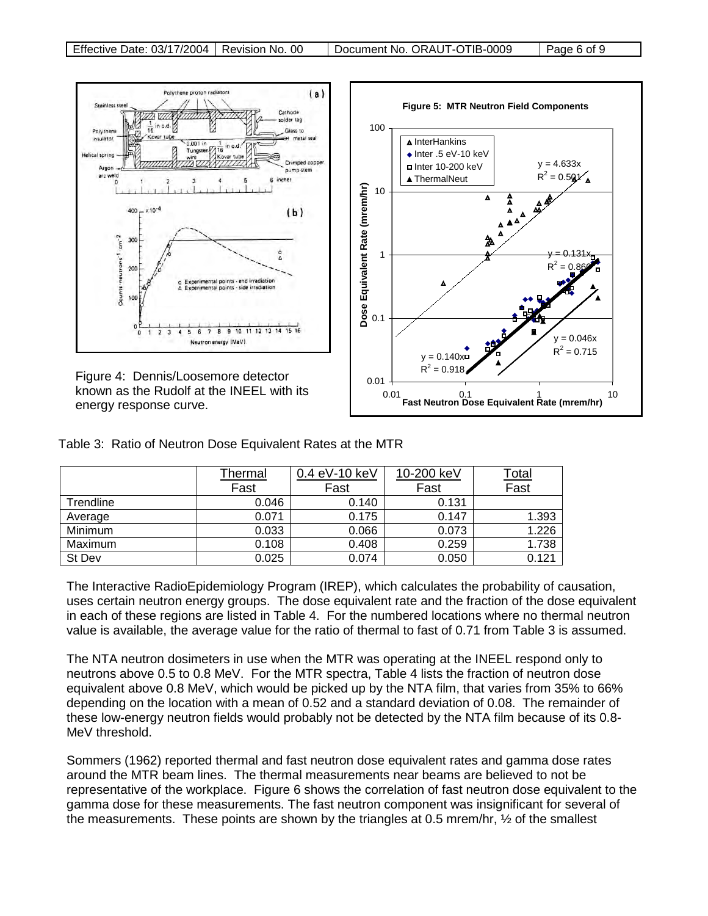

| Table 3: Ratio of Neutron Dose Equivalent Rates at the MTR |  |  |  |  |  |  |  |  |  |
|------------------------------------------------------------|--|--|--|--|--|--|--|--|--|
|------------------------------------------------------------|--|--|--|--|--|--|--|--|--|

|           | Thermal | 0.4 eV-10 keV | 10-200 keV | <u>Total</u><br>Fast |
|-----------|---------|---------------|------------|----------------------|
|           | Fast    | Fast          | Fast       |                      |
| Trendline | 0.046   | 0.140         | 0.131      |                      |
| Average   | 0.071   | 0.175         | 0.147      | 1.393                |
| Minimum   | 0.033   | 0.066         | 0.073      | 1.226                |
| Maximum   | 0.108   | 0.408         | 0.259      | 1.738                |
| St Dev    | 0.025   | 0.074         | 0.050      | 0.121                |

The Interactive RadioEpidemiology Program (IREP), which calculates the probability of causation, uses certain neutron energy groups. The dose equivalent rate and the fraction of the dose equivalent in each of these regions are listed in Table 4. For the numbered locations where no thermal neutron value is available, the average value for the ratio of thermal to fast of 0.71 from Table 3 is assumed.

The NTA neutron dosimeters in use when the MTR was operating at the INEEL respond only to neutrons above 0.5 to 0.8 MeV. For the MTR spectra, Table 4 lists the fraction of neutron dose equivalent above 0.8 MeV, which would be picked up by the NTA film, that varies from 35% to 66% depending on the location with a mean of 0.52 and a standard deviation of 0.08. The remainder of these low-energy neutron fields would probably not be detected by the NTA film because of its 0.8- MeV threshold.

Sommers (1962) reported thermal and fast neutron dose equivalent rates and gamma dose rates around the MTR beam lines. The thermal measurements near beams are believed to not be representative of the workplace. Figure 6 shows the correlation of fast neutron dose equivalent to the gamma dose for these measurements. The fast neutron component was insignificant for several of the measurements. These points are shown by the triangles at 0.5 mrem/hr, ½ of the smallest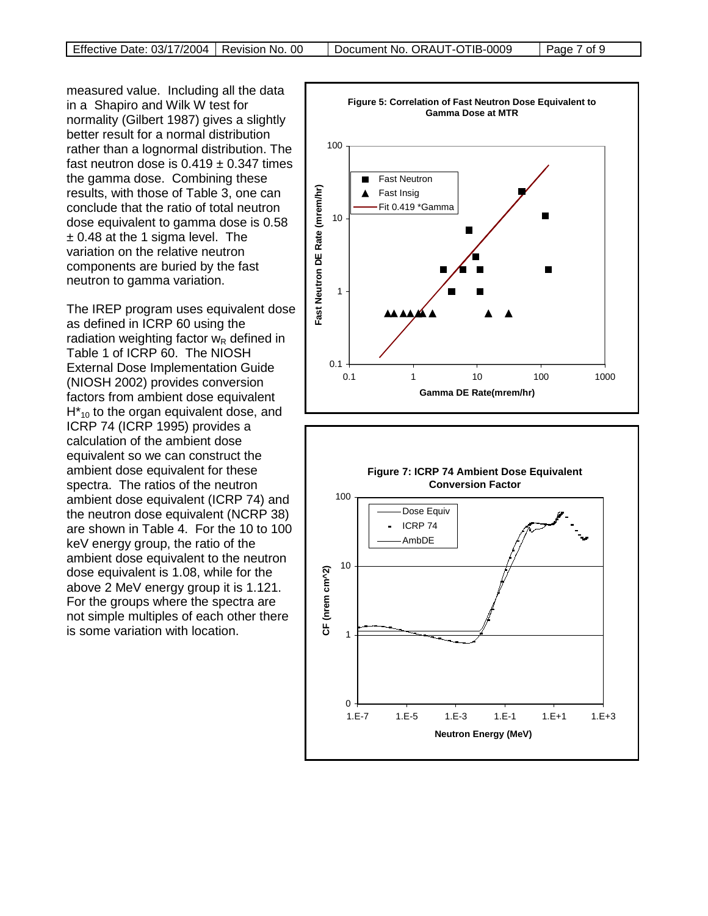measured value. Including all the data in a Shapiro and Wilk W test for normality (Gilbert 1987) gives a slightly better result for a normal distribution rather than a lognormal distribution. The fast neutron dose is  $0.419 \pm 0.347$  times the gamma dose. Combining these results, with those of Table 3, one can conclude that the ratio of total neutron dose equivalent to gamma dose is 0.58 ± 0.48 at the 1 sigma level. The variation on the relative neutron components are buried by the fast neutron to gamma variation.

The IREP program uses equivalent dose as defined in ICRP 60 using the radiation weighting factor  $w_R$  defined in Table 1 of ICRP 60. The NIOSH External Dose Implementation Guide (NIOSH 2002) provides conversion factors from ambient dose equivalent  $H_{10}^*$  to the organ equivalent dose, and ICRP 74 (ICRP 1995) provides a calculation of the ambient dose equivalent so we can construct the ambient dose equivalent for these spectra. The ratios of the neutron ambient dose equivalent (ICRP 74) and the neutron dose equivalent (NCRP 38) are shown in Table 4. For the 10 to 100 keV energy group, the ratio of the ambient dose equivalent to the neutron dose equivalent is 1.08, while for the above 2 MeV energy group it is 1.121. For the groups where the spectra are not simple multiples of each other there is some variation with location.



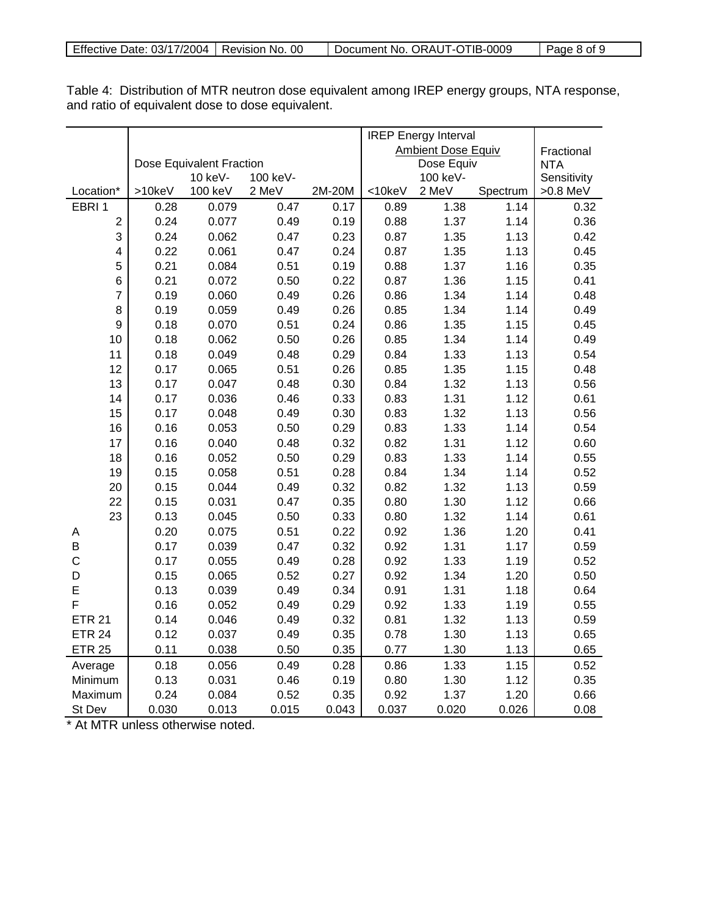|                  |        |                          |          |        | <b>IREP Energy Interval</b> |                           |          |             |
|------------------|--------|--------------------------|----------|--------|-----------------------------|---------------------------|----------|-------------|
|                  |        |                          |          |        |                             | <b>Ambient Dose Equiv</b> |          | Fractional  |
|                  |        | Dose Equivalent Fraction |          |        |                             | Dose Equiv                |          | <b>NTA</b>  |
|                  |        | 10 keV-                  | 100 keV- |        |                             | 100 keV-                  |          | Sensitivity |
| Location*        | >10keV | 100 keV                  | 2 MeV    | 2M-20M | <10keV                      | 2 MeV                     | Spectrum | >0.8 MeV    |
| EBRI1            | 0.28   | 0.079                    | 0.47     | 0.17   | 0.89                        | 1.38                      | 1.14     | 0.32        |
| $\boldsymbol{2}$ | 0.24   | 0.077                    | 0.49     | 0.19   | 0.88                        | 1.37                      | 1.14     | 0.36        |
| 3                | 0.24   | 0.062                    | 0.47     | 0.23   | 0.87                        | 1.35                      | 1.13     | 0.42        |
| 4                | 0.22   | 0.061                    | 0.47     | 0.24   | 0.87                        | 1.35                      | 1.13     | 0.45        |
| 5                | 0.21   | 0.084                    | 0.51     | 0.19   | 0.88                        | 1.37                      | 1.16     | 0.35        |
| 6                | 0.21   | 0.072                    | 0.50     | 0.22   | 0.87                        | 1.36                      | 1.15     | 0.41        |
| $\overline{7}$   | 0.19   | 0.060                    | 0.49     | 0.26   | 0.86                        | 1.34                      | 1.14     | 0.48        |
| 8                | 0.19   | 0.059                    | 0.49     | 0.26   | 0.85                        | 1.34                      | 1.14     | 0.49        |
| 9                | 0.18   | 0.070                    | 0.51     | 0.24   | 0.86                        | 1.35                      | 1.15     | 0.45        |
| 10               | 0.18   | 0.062                    | 0.50     | 0.26   | 0.85                        | 1.34                      | 1.14     | 0.49        |
| 11               | 0.18   | 0.049                    | 0.48     | 0.29   | 0.84                        | 1.33                      | 1.13     | 0.54        |
| 12               | 0.17   | 0.065                    | 0.51     | 0.26   | 0.85                        | 1.35                      | 1.15     | 0.48        |
| 13               | 0.17   | 0.047                    | 0.48     | 0.30   | 0.84                        | 1.32                      | 1.13     | 0.56        |
| 14               | 0.17   | 0.036                    | 0.46     | 0.33   | 0.83                        | 1.31                      | 1.12     | 0.61        |
| 15               | 0.17   | 0.048                    | 0.49     | 0.30   | 0.83                        | 1.32                      | 1.13     | 0.56        |
| 16               | 0.16   | 0.053                    | 0.50     | 0.29   | 0.83                        | 1.33                      | 1.14     | 0.54        |
| 17               | 0.16   | 0.040                    | 0.48     | 0.32   | 0.82                        | 1.31                      | 1.12     | 0.60        |
| 18               | 0.16   | 0.052                    | 0.50     | 0.29   | 0.83                        | 1.33                      | 1.14     | 0.55        |
| 19               | 0.15   | 0.058                    | 0.51     | 0.28   | 0.84                        | 1.34                      | 1.14     | 0.52        |
| 20               | 0.15   | 0.044                    | 0.49     | 0.32   | 0.82                        | 1.32                      | 1.13     | 0.59        |
| 22               | 0.15   | 0.031                    | 0.47     | 0.35   | 0.80                        | 1.30                      | 1.12     | 0.66        |
| 23               | 0.13   | 0.045                    | 0.50     | 0.33   | 0.80                        | 1.32                      | 1.14     | 0.61        |
| А                | 0.20   | 0.075                    | 0.51     | 0.22   | 0.92                        | 1.36                      | 1.20     | 0.41        |
| B                | 0.17   | 0.039                    | 0.47     | 0.32   | 0.92                        | 1.31                      | 1.17     | 0.59        |
| $\mathsf{C}$     | 0.17   | 0.055                    | 0.49     | 0.28   | 0.92                        | 1.33                      | 1.19     | 0.52        |
| D                | 0.15   | 0.065                    | 0.52     | 0.27   | 0.92                        | 1.34                      | 1.20     | 0.50        |
| E                | 0.13   | 0.039                    | 0.49     | 0.34   | 0.91                        | 1.31                      | 1.18     | 0.64        |
| F                | 0.16   | 0.052                    | 0.49     | 0.29   | 0.92                        | 1.33                      | 1.19     | 0.55        |
| <b>ETR 21</b>    | 0.14   | 0.046                    | 0.49     | 0.32   | 0.81                        | 1.32                      | 1.13     | 0.59        |
| <b>ETR 24</b>    | 0.12   | 0.037                    | 0.49     | 0.35   | 0.78                        | 1.30                      | 1.13     | 0.65        |
| <b>ETR 25</b>    | 0.11   | 0.038                    | 0.50     | 0.35   | 0.77                        | 1.30                      | 1.13     | 0.65        |
| Average          | 0.18   | 0.056                    | 0.49     | 0.28   | 0.86                        | 1.33                      | 1.15     | 0.52        |
| Minimum          | 0.13   | 0.031                    | 0.46     | 0.19   | 0.80                        | 1.30                      | 1.12     | 0.35        |
| Maximum          | 0.24   | 0.084                    | 0.52     | 0.35   | 0.92                        | 1.37                      | 1.20     | 0.66        |
| St Dev           | 0.030  | 0.013                    | 0.015    | 0.043  | 0.037                       | 0.020                     | 0.026    | 0.08        |

Table 4: Distribution of MTR neutron dose equivalent among IREP energy groups, NTA response, and ratio of equivalent dose to dose equivalent.

\* At MTR unless otherwise noted.